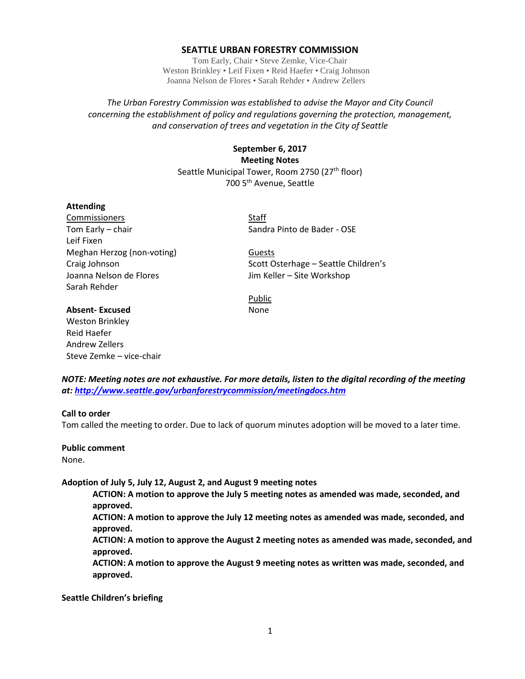#### **SEATTLE URBAN FORESTRY COMMISSION**

Tom Early, Chair • Steve Zemke, Vice-Chair Weston Brinkley • Leif Fixen • Reid Haefer • Craig Johnson Joanna Nelson de Flores • Sarah Rehder • Andrew Zellers

*The Urban Forestry Commission was established to advise the Mayor and City Council concerning the establishment of policy and regulations governing the protection, management, and conservation of trees and vegetation in the City of Seattle*

> **September 6, 2017 Meeting Notes** Seattle Municipal Tower, Room 2750 (27<sup>th</sup> floor) 700 5th Avenue, Seattle

#### **Attending**

Commissioners Staff Tom Early – chair Sandra Pinto de Bader - OSE Leif Fixen Meghan Herzog (non-voting) Guests Joanna Nelson de Flores **Joanna Nelson de Flores** Jim Keller – Site Workshop Sarah Rehder

Craig Johnson **Scott Osterhage – Seattle Children's** 

Public

# **Absent-Excused** None

Weston Brinkley Reid Haefer Andrew Zellers Steve Zemke – vice-chair

*NOTE: Meeting notes are not exhaustive. For more details, listen to the digital recording of the meeting at:<http://www.seattle.gov/urbanforestrycommission/meetingdocs.htm>*

#### **Call to order**

Tom called the meeting to order. Due to lack of quorum minutes adoption will be moved to a later time.

**Public comment**

None.

#### **Adoption of July 5, July 12, August 2, and August 9 meeting notes**

**ACTION: A motion to approve the July 5 meeting notes as amended was made, seconded, and approved.**

**ACTION: A motion to approve the July 12 meeting notes as amended was made, seconded, and approved.**

**ACTION: A motion to approve the August 2 meeting notes as amended was made, seconded, and approved.**

**ACTION: A motion to approve the August 9 meeting notes as written was made, seconded, and approved.**

**Seattle Children's briefing**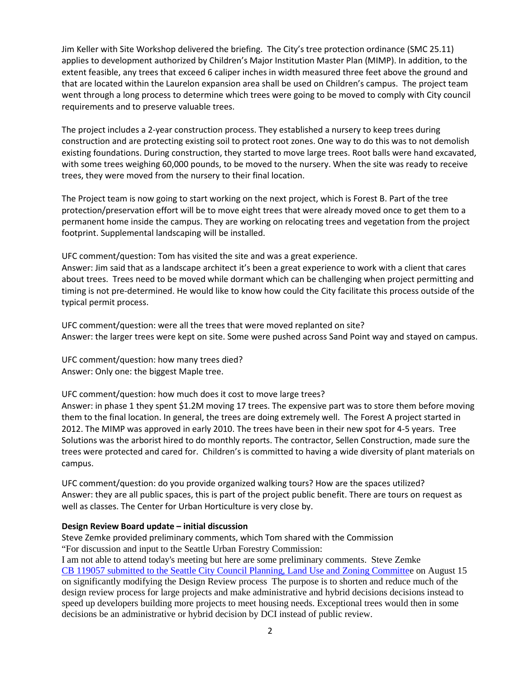Jim Keller with Site Workshop delivered the briefing. The City's tree protection ordinance (SMC 25.11) applies to development authorized by Children's Major Institution Master Plan (MIMP). In addition, to the extent feasible, any trees that exceed 6 caliper inches in width measured three feet above the ground and that are located within the Laurelon expansion area shall be used on Children's campus. The project team went through a long process to determine which trees were going to be moved to comply with City council requirements and to preserve valuable trees.

The project includes a 2-year construction process. They established a nursery to keep trees during construction and are protecting existing soil to protect root zones. One way to do this was to not demolish existing foundations. During construction, they started to move large trees. Root balls were hand excavated, with some trees weighing 60,000 pounds, to be moved to the nursery. When the site was ready to receive trees, they were moved from the nursery to their final location.

The Project team is now going to start working on the next project, which is Forest B. Part of the tree protection/preservation effort will be to move eight trees that were already moved once to get them to a permanent home inside the campus. They are working on relocating trees and vegetation from the project footprint. Supplemental landscaping will be installed.

UFC comment/question: Tom has visited the site and was a great experience.

Answer: Jim said that as a landscape architect it's been a great experience to work with a client that cares about trees. Trees need to be moved while dormant which can be challenging when project permitting and timing is not pre-determined. He would like to know how could the City facilitate this process outside of the typical permit process.

UFC comment/question: were all the trees that were moved replanted on site? Answer: the larger trees were kept on site. Some were pushed across Sand Point way and stayed on campus.

UFC comment/question: how many trees died? Answer: Only one: the biggest Maple tree.

UFC comment/question: how much does it cost to move large trees?

Answer: in phase 1 they spent \$1.2M moving 17 trees. The expensive part was to store them before moving them to the final location. In general, the trees are doing extremely well. The Forest A project started in 2012. The MIMP was approved in early 2010. The trees have been in their new spot for 4-5 years. Tree Solutions was the arborist hired to do monthly reports. The contractor, Sellen Construction, made sure the trees were protected and cared for. Children's is committed to having a wide diversity of plant materials on campus.

UFC comment/question: do you provide organized walking tours? How are the spaces utilized? Answer: they are all public spaces, this is part of the project public benefit. There are tours on request as well as classes. The Center for Urban Horticulture is very close by.

## **Design Review Board update – initial discussion**

Steve Zemke provided preliminary comments, which Tom shared with the Commission "For discussion and input to the Seattle Urban Forestry Commission:

I am not able to attend today's meeting but here are some preliminary comments. Steve Zemke [CB 119057 submitted to the Seattle City Council](http://seattle.legistar.com/LegislationDetail.aspx?ID=3127226&GUID=494160C8-AEA0-4C45-AD08-E7DC75FE9D44) Planning, Land Use and Zoning Committee on August 15 on significantly modifying the Design Review process The purpose is to shorten and reduce much of the design review process for large projects and make administrative and hybrid decisions decisions instead to speed up developers building more projects to meet housing needs. Exceptional trees would then in some decisions be an administrative or hybrid decision by DCI instead of public review.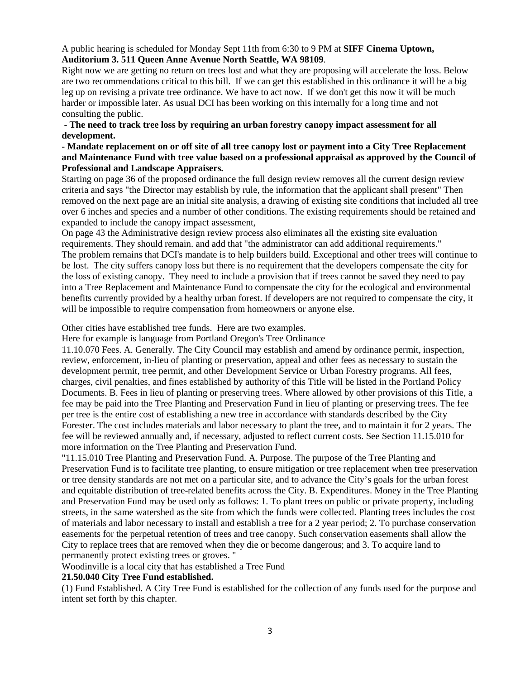## A public hearing is scheduled for Monday Sept 11th from 6:30 to 9 PM at **SIFF Cinema Uptown, Auditorium 3. 511 Queen Anne Avenue North Seattle, WA 98109**.

Right now we are getting no return on trees lost and what they are proposing will accelerate the loss. Below are two recommendations critical to this bill. If we can get this established in this ordinance it will be a big leg up on revising a private tree ordinance. We have to act now. If we don't get this now it will be much harder or impossible later. As usual DCI has been working on this internally for a long time and not consulting the public.

- **The need to track tree loss by requiring an urban forestry canopy impact assessment for all development.**

## **- Mandate replacement on or off site of all tree canopy lost or payment into a City Tree Replacement and Maintenance Fund with tree value based on a professional appraisal as approved by the Council of Professional and Landscape Appraisers.**

Starting on page 36 of the proposed ordinance the full design review removes all the current design review criteria and says "the Director may establish by rule, the information that the applicant shall present" Then removed on the next page are an initial site analysis, a drawing of existing site conditions that included all tree over 6 inches and species and a number of other conditions. The existing requirements should be retained and expanded to include the canopy impact assessment,

On page 43 the Administrative design review process also eliminates all the existing site evaluation requirements. They should remain. and add that "the administrator can add additional requirements." The problem remains that DCI's mandate is to help builders build. Exceptional and other trees will continue to be lost. The city suffers canopy loss but there is no requirement that the developers compensate the city for the loss of existing canopy. They need to include a provision that if trees cannot be saved they need to pay into a Tree Replacement and Maintenance Fund to compensate the city for the ecological and environmental benefits currently provided by a healthy urban forest. If developers are not required to compensate the city, it will be impossible to require compensation from homeowners or anyone else.

Other cities have established tree funds. Here are two examples.

Here for example is language from Portland Oregon's Tree Ordinance

11.10.070 Fees. A. Generally. The City Council may establish and amend by ordinance permit, inspection, review, enforcement, in-lieu of planting or preservation, appeal and other fees as necessary to sustain the development permit, tree permit, and other Development Service or Urban Forestry programs. All fees, charges, civil penalties, and fines established by authority of this Title will be listed in the Portland Policy Documents. B. Fees in lieu of planting or preserving trees. Where allowed by other provisions of this Title, a fee may be paid into the Tree Planting and Preservation Fund in lieu of planting or preserving trees. The fee per tree is the entire cost of establishing a new tree in accordance with standards described by the City Forester. The cost includes materials and labor necessary to plant the tree, and to maintain it for 2 years. The fee will be reviewed annually and, if necessary, adjusted to reflect current costs. See Section 11.15.010 for more information on the Tree Planting and Preservation Fund.

"11.15.010 Tree Planting and Preservation Fund. A. Purpose. The purpose of the Tree Planting and Preservation Fund is to facilitate tree planting, to ensure mitigation or tree replacement when tree preservation or tree density standards are not met on a particular site, and to advance the City's goals for the urban forest and equitable distribution of tree-related benefits across the City. B. Expenditures. Money in the Tree Planting and Preservation Fund may be used only as follows: 1. To plant trees on public or private property, including streets, in the same watershed as the site from which the funds were collected. Planting trees includes the cost of materials and labor necessary to install and establish a tree for a 2 year period; 2. To purchase conservation easements for the perpetual retention of trees and tree canopy. Such conservation easements shall allow the City to replace trees that are removed when they die or become dangerous; and 3. To acquire land to permanently protect existing trees or groves. "

Woodinville is a local city that has established a Tree Fund

## **21.50.040 City Tree Fund established.**

(1) Fund Established. A City Tree Fund is established for the collection of any funds used for the purpose and intent set forth by this chapter.